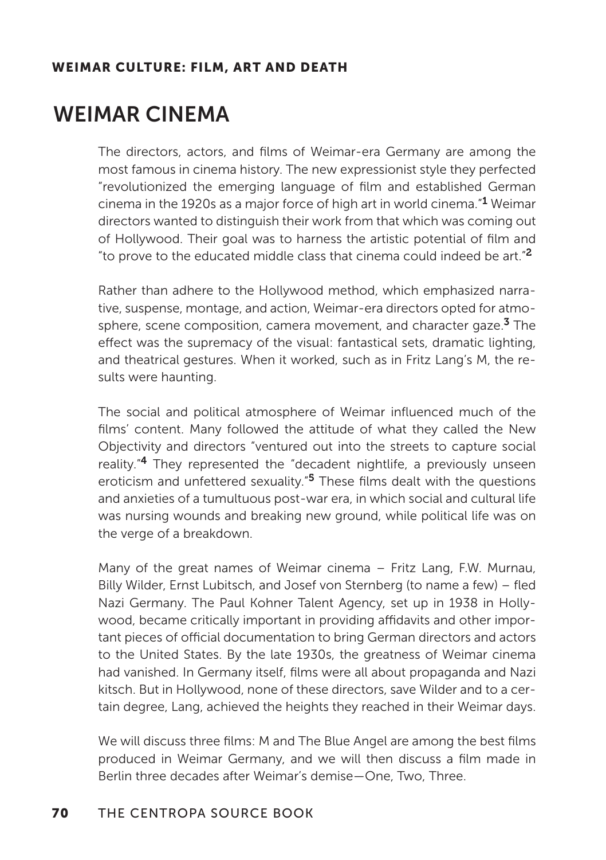# WEIMAR CINEMA

The directors, actors, and films of Weimar-era Germany are among the most famous in cinema history. The new expressionist style they perfected "revolutionized the emerging language of film and established German cinema in the 1920s as a major force of high art in world cinema."1 Weimar directors wanted to distinguish their work from that which was coming out of Hollywood. Their goal was to harness the artistic potential of film and "to prove to the educated middle class that cinema could indeed be art."<sup>2</sup>

Rather than adhere to the Hollywood method, which emphasized narrative, suspense, montage, and action, Weimar-era directors opted for atmosphere, scene composition, camera movement, and character gaze.<sup>3</sup> The efect was the supremacy of the visual: fantastical sets, dramatic lighting, and theatrical gestures. When it worked, such as in Fritz Lang's M, the results were haunting.

The social and political atmosphere of Weimar influenced much of the films' content. Many followed the attitude of what they called the New Objectivity and directors "ventured out into the streets to capture social reality."4 They represented the "decadent nightlife, a previously unseen eroticism and unfettered sexuality."<sup>5</sup> These films dealt with the questions and anxieties of a tumultuous post-war era, in which social and cultural life was nursing wounds and breaking new ground, while political life was on the verge of a breakdown.

Many of the great names of Weimar cinema – Fritz Lang, F.W. Murnau, Billy Wilder, Ernst Lubitsch, and Josef von Sternberg (to name a few) – fled Nazi Germany. The Paul Kohner Talent Agency, set up in 1938 in Hollywood, became critically important in providing affidavits and other important pieces of official documentation to bring German directors and actors to the United States. By the late 1930s, the greatness of Weimar cinema had vanished. In Germany itself, films were all about propaganda and Nazi kitsch. But in Hollywood, none of these directors, save Wilder and to a certain degree, Lang, achieved the heights they reached in their Weimar days.

We will discuss three films: M and The Blue Angel are among the best films produced in Weimar Germany, and we will then discuss a film made in Berlin three decades after Weimar's demise—One, Two, Three.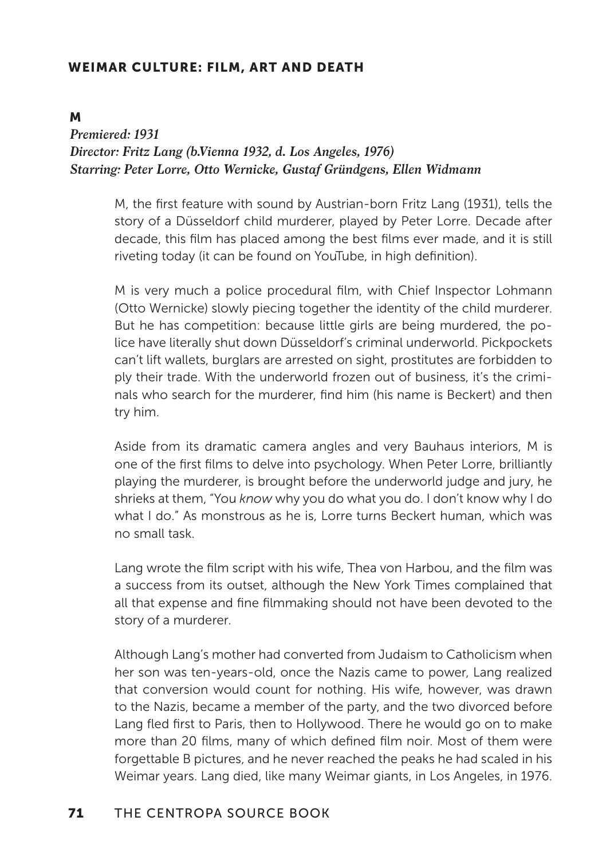#### M

## *Premiered: 1931 Director: Fritz Lang (b.Vienna 1932, d. Los Angeles, 1976) Starring: Peter Lorre, Otto Wernicke, Gustaf Gründgens, Ellen Widmann*

M, the first feature with sound by Austrian-born Fritz Lang (1931), tells the story of a Düsseldorf child murderer, played by Peter Lorre. Decade after decade, this film has placed among the best films ever made, and it is still riveting today (it can be found on YouTube, in high definition).

M is very much a police procedural film, with Chief Inspector Lohmann (Otto Wernicke) slowly piecing together the identity of the child murderer. But he has competition: because little girls are being murdered, the police have literally shut down Düsseldorf's criminal underworld. Pickpockets can't lift wallets, burglars are arrested on sight, prostitutes are forbidden to ply their trade. With the underworld frozen out of business, it's the criminals who search for the murderer, find him (his name is Beckert) and then try him.

Aside from its dramatic camera angles and very Bauhaus interiors, M is one of the first films to delve into psychology. When Peter Lorre, brilliantly playing the murderer, is brought before the underworld judge and jury, he shrieks at them, "You *know* why you do what you do. I don't know why I do what I do." As monstrous as he is, Lorre turns Beckert human, which was no small task.

Lang wrote the film script with his wife, Thea von Harbou, and the film was a success from its outset, although the New York Times complained that all that expense and fine filmmaking should not have been devoted to the story of a murderer.

Although Lang's mother had converted from Judaism to Catholicism when her son was ten-years-old, once the Nazis came to power, Lang realized that conversion would count for nothing. His wife, however, was drawn to the Nazis, became a member of the party, and the two divorced before Lang fled first to Paris, then to Hollywood. There he would go on to make more than 20 films, many of which defined film noir. Most of them were forgettable B pictures, and he never reached the peaks he had scaled in his Weimar years. Lang died, like many Weimar giants, in Los Angeles, in 1976.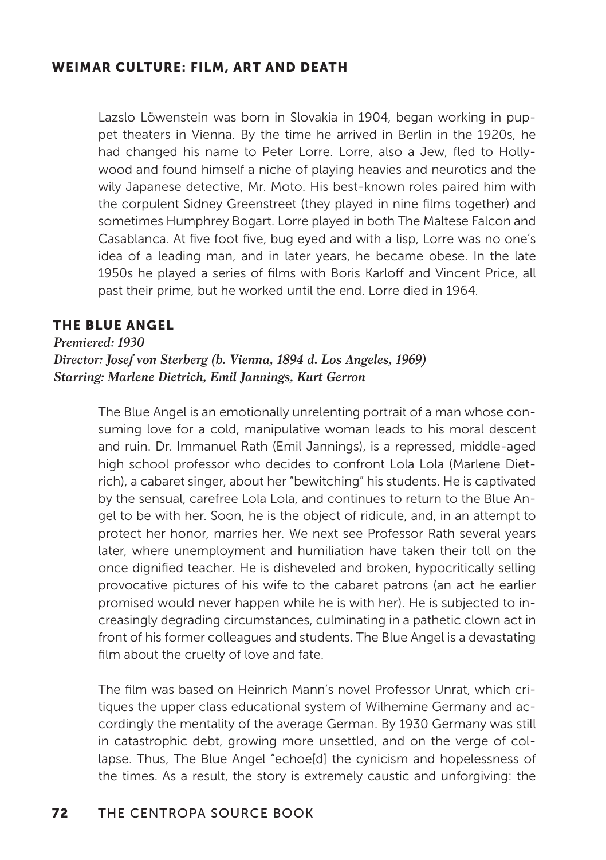Lazslo Löwenstein was born in Slovakia in 1904, began working in puppet theaters in Vienna. By the time he arrived in Berlin in the 1920s, he had changed his name to Peter Lorre. Lorre, also a Jew, fled to Hollywood and found himself a niche of playing heavies and neurotics and the wily Japanese detective, Mr. Moto. His best-known roles paired him with the corpulent Sidney Greenstreet (they played in nine films together) and sometimes Humphrey Bogart. Lorre played in both The Maltese Falcon and Casablanca. At five foot five, bug eyed and with a lisp, Lorre was no one's idea of a leading man, and in later years, he became obese. In the late 1950s he played a series of films with Boris Karloff and Vincent Price, all past their prime, but he worked until the end. Lorre died in 1964.

#### THE BLUE ANGEL

*Premiered: 1930 Director: Josef von Sterberg (b. Vienna, 1894 d. Los Angeles, 1969) Starring: Marlene Dietrich, Emil Jannings, Kurt Gerron*

> The Blue Angel is an emotionally unrelenting portrait of a man whose consuming love for a cold, manipulative woman leads to his moral descent and ruin. Dr. Immanuel Rath (Emil Jannings), is a repressed, middle-aged high school professor who decides to confront Lola Lola (Marlene Dietrich), a cabaret singer, about her "bewitching" his students. He is captivated by the sensual, carefree Lola Lola, and continues to return to the Blue Angel to be with her. Soon, he is the object of ridicule, and, in an attempt to protect her honor, marries her. We next see Professor Rath several years later, where unemployment and humiliation have taken their toll on the once dignified teacher. He is disheveled and broken, hypocritically selling provocative pictures of his wife to the cabaret patrons (an act he earlier promised would never happen while he is with her). He is subjected to increasingly degrading circumstances, culminating in a pathetic clown act in front of his former colleagues and students. The Blue Angel is a devastating film about the cruelty of love and fate.

> The film was based on Heinrich Mann's novel Professor Unrat, which critiques the upper class educational system of Wilhemine Germany and accordingly the mentality of the average German. By 1930 Germany was still in catastrophic debt, growing more unsettled, and on the verge of collapse. Thus, The Blue Angel "echoe[d] the cynicism and hopelessness of the times. As a result, the story is extremely caustic and unforgiving: the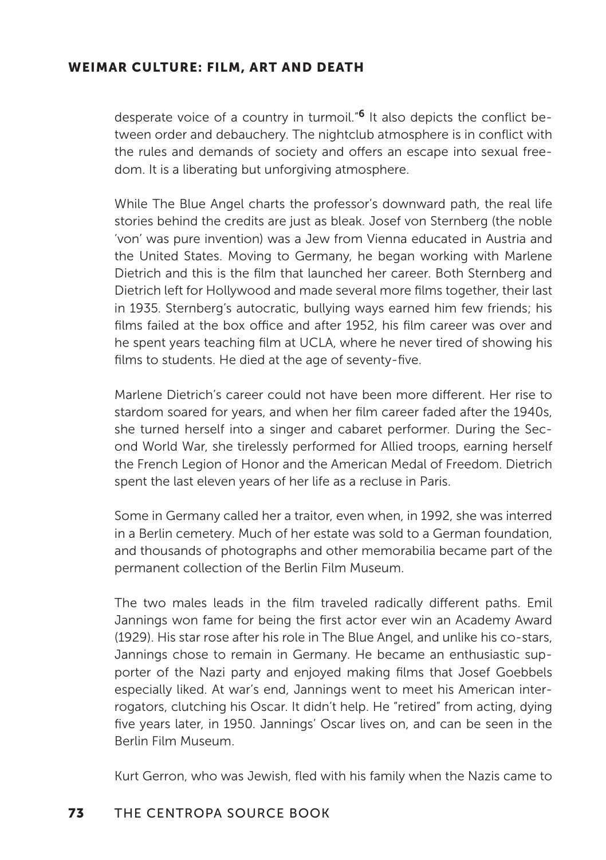desperate voice of a country in turmoil."6 It also depicts the conflict between order and debauchery. The nightclub atmosphere is in conflict with the rules and demands of society and offers an escape into sexual freedom. It is a liberating but unforgiving atmosphere.

While The Blue Angel charts the professor's downward path, the real life stories behind the credits are just as bleak. Josef von Sternberg (the noble 'von' was pure invention) was a Jew from Vienna educated in Austria and the United States. Moving to Germany, he began working with Marlene Dietrich and this is the film that launched her career. Both Sternberg and Dietrich left for Hollywood and made several more films together, their last in 1935. Sternberg's autocratic, bullying ways earned him few friends; his films failed at the box office and after 1952, his film career was over and he spent years teaching film at UCLA, where he never tired of showing his films to students. He died at the age of seventy-five.

Marlene Dietrich's career could not have been more diferent. Her rise to stardom soared for years, and when her film career faded after the 1940s, she turned herself into a singer and cabaret performer. During the Second World War, she tirelessly performed for Allied troops, earning herself the French Legion of Honor and the American Medal of Freedom. Dietrich spent the last eleven years of her life as a recluse in Paris.

Some in Germany called her a traitor, even when, in 1992, she was interred in a Berlin cemetery. Much of her estate was sold to a German foundation, and thousands of photographs and other memorabilia became part of the permanent collection of the Berlin Film Museum.

The two males leads in the film traveled radically diferent paths. Emil Jannings won fame for being the first actor ever win an Academy Award (1929). His star rose after his role in The Blue Angel, and unlike his co-stars, Jannings chose to remain in Germany. He became an enthusiastic supporter of the Nazi party and enjoyed making films that Josef Goebbels especially liked. At war's end, Jannings went to meet his American interrogators, clutching his Oscar. It didn't help. He "retired" from acting, dying five years later, in 1950. Jannings' Oscar lives on, and can be seen in the Berlin Film Museum.

Kurt Gerron, who was Jewish, fled with his family when the Nazis came to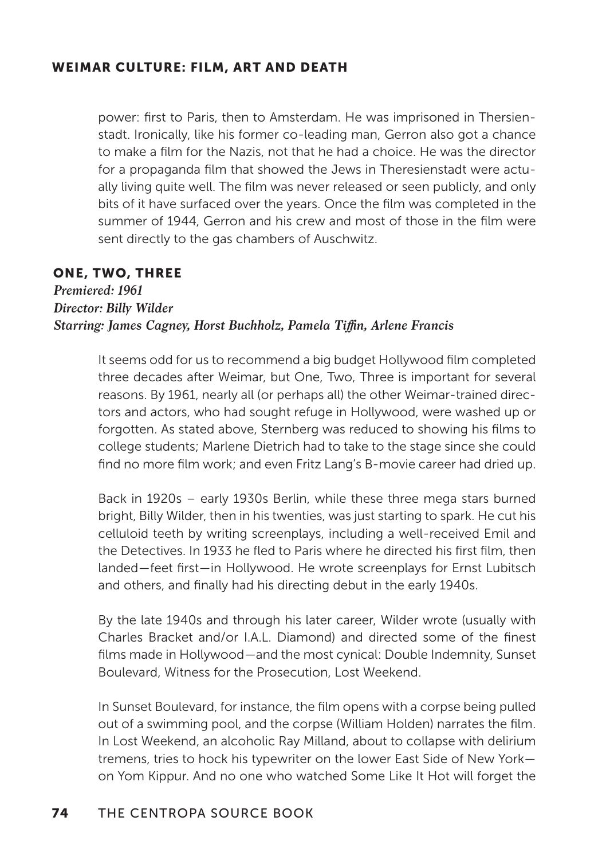power: first to Paris, then to Amsterdam. He was imprisoned in Thersienstadt. Ironically, like his former co-leading man, Gerron also got a chance to make a film for the Nazis, not that he had a choice. He was the director for a propaganda film that showed the Jews in Theresienstadt were actually living quite well. The film was never released or seen publicly, and only bits of it have surfaced over the years. Once the film was completed in the summer of 1944, Gerron and his crew and most of those in the film were sent directly to the gas chambers of Auschwitz.

### ONE, TWO, THREE

*Premiered: 1961 Director: Billy Wilder Starring: James Cagney, Horst Buchholz, Pamela Tiffin, Arlene Francis*

> It seems odd for us to recommend a big budget Hollywood film completed three decades after Weimar, but One, Two, Three is important for several reasons. By 1961, nearly all (or perhaps all) the other Weimar-trained directors and actors, who had sought refuge in Hollywood, were washed up or forgotten. As stated above, Sternberg was reduced to showing his films to college students; Marlene Dietrich had to take to the stage since she could find no more film work; and even Fritz Lang's B-movie career had dried up.

> Back in 1920s – early 1930s Berlin, while these three mega stars burned bright, Billy Wilder, then in his twenties, was just starting to spark. He cut his celluloid teeth by writing screenplays, including a well-received Emil and the Detectives. In 1933 he fled to Paris where he directed his first film, then landed—feet first—in Hollywood. He wrote screenplays for Ernst Lubitsch and others, and finally had his directing debut in the early 1940s.

> By the late 1940s and through his later career, Wilder wrote (usually with Charles Bracket and/or I.A.L. Diamond) and directed some of the finest films made in Hollywood—and the most cynical: Double Indemnity, Sunset Boulevard, Witness for the Prosecution, Lost Weekend.

> In Sunset Boulevard, for instance, the film opens with a corpse being pulled out of a swimming pool, and the corpse (William Holden) narrates the film. In Lost Weekend, an alcoholic Ray Milland, about to collapse with delirium tremens, tries to hock his typewriter on the lower East Side of New York on Yom Kippur. And no one who watched Some Like It Hot will forget the